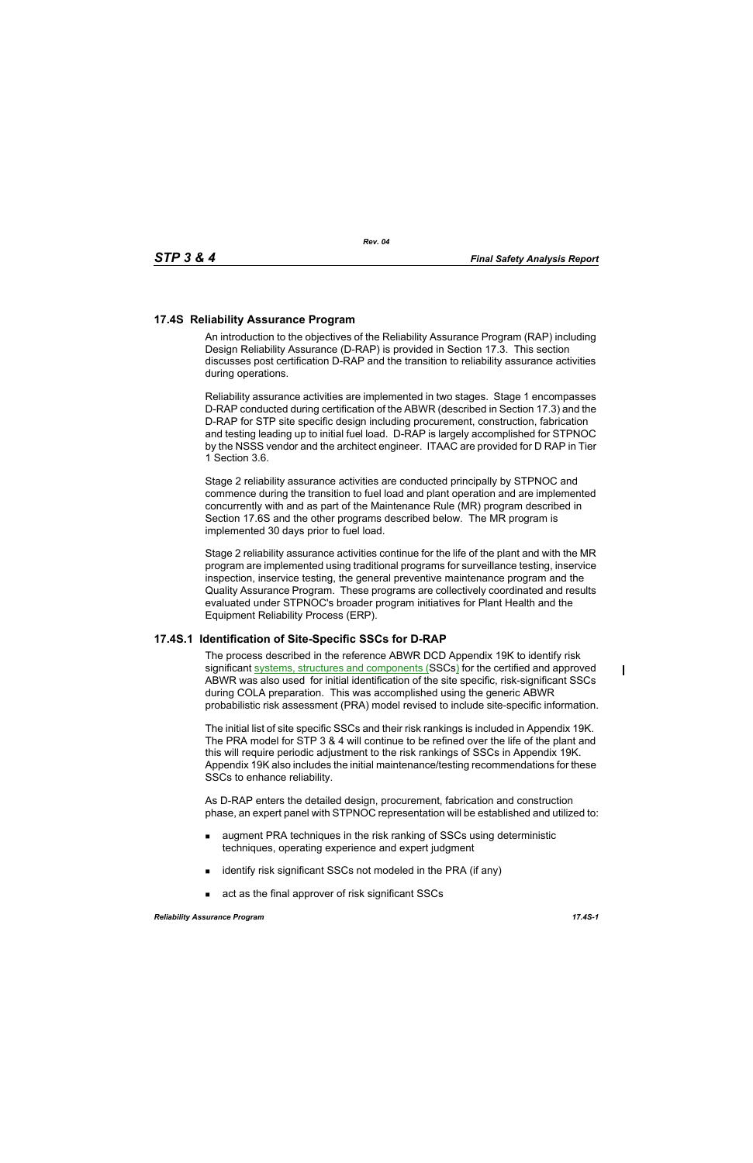## **17.4S Reliability Assurance Program**

An introduction to the objectives of the Reliability Assurance Program (RAP) including Design Reliability Assurance (D-RAP) is provided in Section 17.3. This section discusses post certification D-RAP and the transition to reliability assurance activities during operations.

Reliability assurance activities are implemented in two stages. Stage 1 encompasses D-RAP conducted during certification of the ABWR (described in Section 17.3) and the D-RAP for STP site specific design including procurement, construction, fabrication and testing leading up to initial fuel load. D-RAP is largely accomplished for STPNOC by the NSSS vendor and the architect engineer. ITAAC are provided for D RAP in Tier 1 Section 3.6.

Stage 2 reliability assurance activities are conducted principally by STPNOC and commence during the transition to fuel load and plant operation and are implemented concurrently with and as part of the Maintenance Rule (MR) program described in Section 17.6S and the other programs described below. The MR program is implemented 30 days prior to fuel load.

Stage 2 reliability assurance activities continue for the life of the plant and with the MR program are implemented using traditional programs for surveillance testing, inservice inspection, inservice testing, the general preventive maintenance program and the Quality Assurance Program. These programs are collectively coordinated and results evaluated under STPNOC's broader program initiatives for Plant Health and the Equipment Reliability Process (ERP).

## **17.4S.1 Identification of Site-Specific SSCs for D-RAP**

The process described in the reference ABWR DCD Appendix 19K to identify risk significant systems, structures and components (SSCs) for the certified and approved ABWR was also used for initial identification of the site specific, risk-significant SSCs during COLA preparation. This was accomplished using the generic ABWR probabilistic risk assessment (PRA) model revised to include site-specific information.

The initial list of site specific SSCs and their risk rankings is included in Appendix 19K. The PRA model for STP 3 & 4 will continue to be refined over the life of the plant and this will require periodic adjustment to the risk rankings of SSCs in Appendix 19K. Appendix 19K also includes the initial maintenance/testing recommendations for these SSCs to enhance reliability.

As D-RAP enters the detailed design, procurement, fabrication and construction phase, an expert panel with STPNOC representation will be established and utilized to:

- **a** augment PRA techniques in the risk ranking of SSCs using deterministic techniques, operating experience and expert judgment
- $\blacksquare$  identify risk significant SSCs not modeled in the PRA (if any)
- act as the final approver of risk significant SSCs

 $\blacksquare$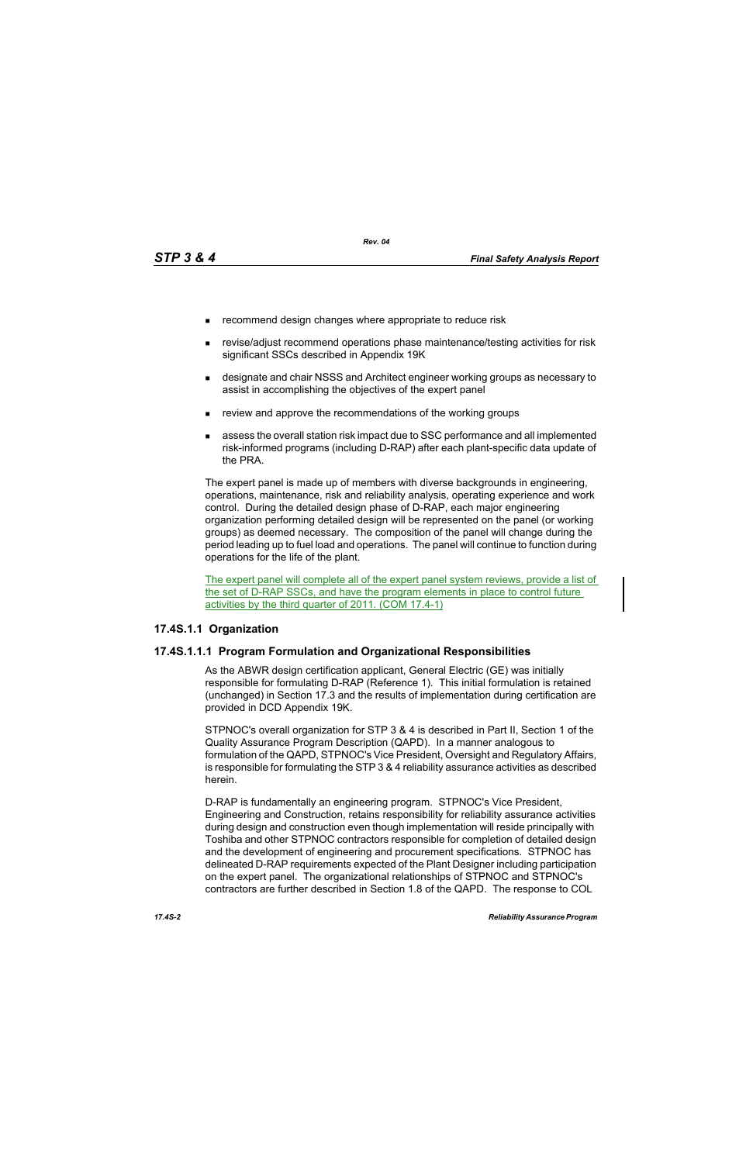- **EXECOMMENDERIGHT CHANGES** where appropriate to reduce risk
- revise/adjust recommend operations phase maintenance/testing activities for risk significant SSCs described in Appendix 19K
- designate and chair NSSS and Architect engineer working groups as necessary to assist in accomplishing the objectives of the expert panel
- review and approve the recommendations of the working groups
- assess the overall station risk impact due to SSC performance and all implemented risk-informed programs (including D-RAP) after each plant-specific data update of the PRA.

The expert panel is made up of members with diverse backgrounds in engineering, operations, maintenance, risk and reliability analysis, operating experience and work control. During the detailed design phase of D-RAP, each major engineering organization performing detailed design will be represented on the panel (or working groups) as deemed necessary. The composition of the panel will change during the period leading up to fuel load and operations. The panel will continue to function during operations for the life of the plant.

The expert panel will complete all of the expert panel system reviews, provide a list of the set of D-RAP SSCs, and have the program elements in place to control future activities by the third quarter of 2011. (COM 17.4-1)

### **17.4S.1.1 Organization**

### **17.4S.1.1.1 Program Formulation and Organizational Responsibilities**

As the ABWR design certification applicant, General Electric (GE) was initially responsible for formulating D-RAP (Reference 1). This initial formulation is retained (unchanged) in Section 17.3 and the results of implementation during certification are provided in DCD Appendix 19K.

STPNOC's overall organization for STP 3 & 4 is described in Part II, Section 1 of the Quality Assurance Program Description (QAPD). In a manner analogous to formulation of the QAPD, STPNOC's Vice President, Oversight and Regulatory Affairs, is responsible for formulating the STP 3 & 4 reliability assurance activities as described herein.

D-RAP is fundamentally an engineering program. STPNOC's Vice President, Engineering and Construction, retains responsibility for reliability assurance activities during design and construction even though implementation will reside principally with Toshiba and other STPNOC contractors responsible for completion of detailed design and the development of engineering and procurement specifications. STPNOC has delineated D-RAP requirements expected of the Plant Designer including participation on the expert panel. The organizational relationships of STPNOC and STPNOC's contractors are further described in Section 1.8 of the QAPD. The response to COL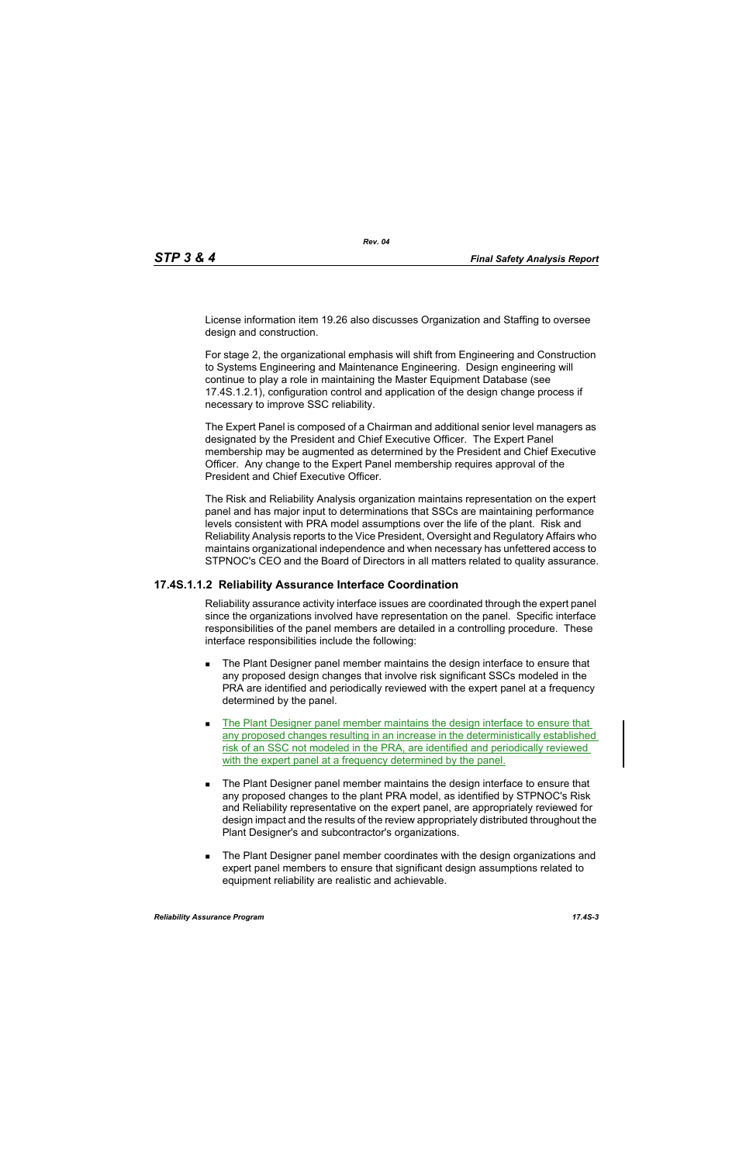License information item 19.26 also discusses Organization and Staffing to oversee design and construction.

For stage 2, the organizational emphasis will shift from Engineering and Construction to Systems Engineering and Maintenance Engineering. Design engineering will continue to play a role in maintaining the Master Equipment Database (see 17.4S.1.2.1), configuration control and application of the design change process if necessary to improve SSC reliability.

The Expert Panel is composed of a Chairman and additional senior level managers as designated by the President and Chief Executive Officer. The Expert Panel membership may be augmented as determined by the President and Chief Executive Officer. Any change to the Expert Panel membership requires approval of the President and Chief Executive Officer.

The Risk and Reliability Analysis organization maintains representation on the expert panel and has major input to determinations that SSCs are maintaining performance levels consistent with PRA model assumptions over the life of the plant. Risk and Reliability Analysis reports to the Vice President, Oversight and Regulatory Affairs who maintains organizational independence and when necessary has unfettered access to STPNOC's CEO and the Board of Directors in all matters related to quality assurance.

## **17.4S.1.1.2 Reliability Assurance Interface Coordination**

Reliability assurance activity interface issues are coordinated through the expert panel since the organizations involved have representation on the panel. Specific interface responsibilities of the panel members are detailed in a controlling procedure. These interface responsibilities include the following:

- **The Plant Designer panel member maintains the design interface to ensure that** any proposed design changes that involve risk significant SSCs modeled in the PRA are identified and periodically reviewed with the expert panel at a frequency determined by the panel.
- The Plant Designer panel member maintains the design interface to ensure that any proposed changes resulting in an increase in the deterministically established risk of an SSC not modeled in the PRA, are identified and periodically reviewed with the expert panel at a frequency determined by the panel.
- The Plant Designer panel member maintains the design interface to ensure that any proposed changes to the plant PRA model, as identified by STPNOC's Risk and Reliability representative on the expert panel, are appropriately reviewed for design impact and the results of the review appropriately distributed throughout the Plant Designer's and subcontractor's organizations.
- **The Plant Designer panel member coordinates with the design organizations and** expert panel members to ensure that significant design assumptions related to equipment reliability are realistic and achievable.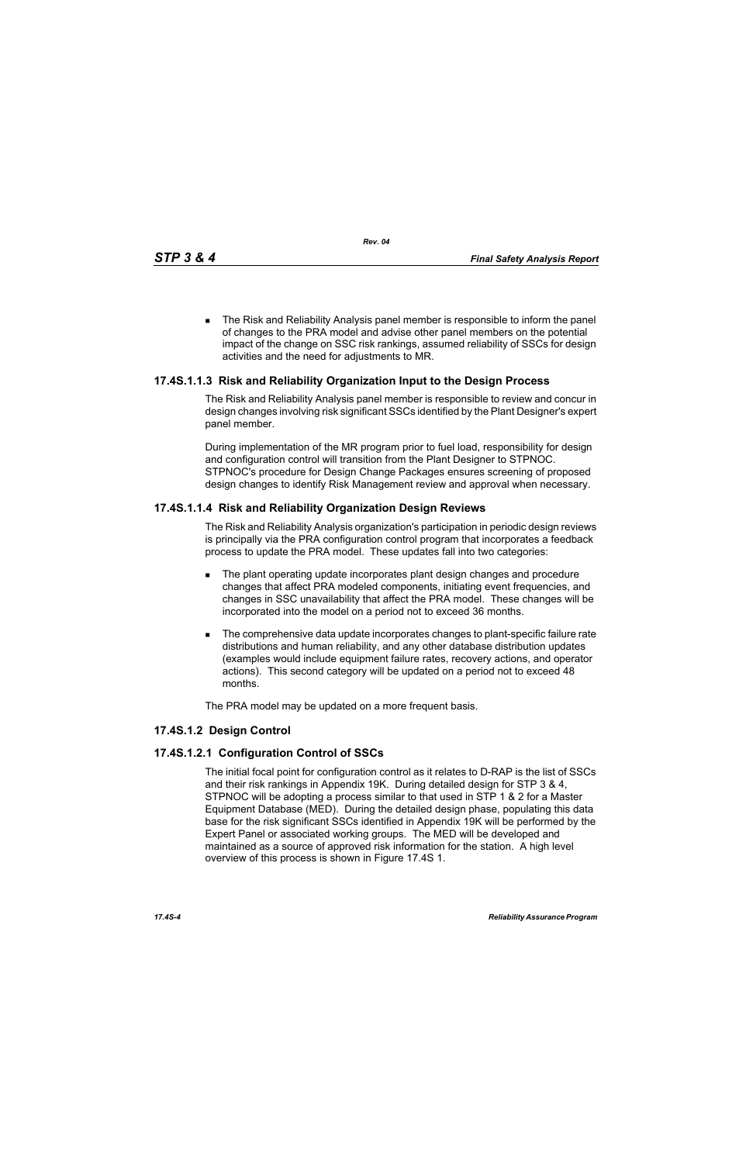The Risk and Reliability Analysis panel member is responsible to inform the panel of changes to the PRA model and advise other panel members on the potential impact of the change on SSC risk rankings, assumed reliability of SSCs for design activities and the need for adjustments to MR.

## **17.4S.1.1.3 Risk and Reliability Organization Input to the Design Process**

The Risk and Reliability Analysis panel member is responsible to review and concur in design changes involving risk significant SSCs identified by the Plant Designer's expert panel member.

During implementation of the MR program prior to fuel load, responsibility for design and configuration control will transition from the Plant Designer to STPNOC. STPNOC's procedure for Design Change Packages ensures screening of proposed design changes to identify Risk Management review and approval when necessary.

## **17.4S.1.1.4 Risk and Reliability Organization Design Reviews**

The Risk and Reliability Analysis organization's participation in periodic design reviews is principally via the PRA configuration control program that incorporates a feedback process to update the PRA model. These updates fall into two categories:

- The plant operating update incorporates plant design changes and procedure changes that affect PRA modeled components, initiating event frequencies, and changes in SSC unavailability that affect the PRA model. These changes will be incorporated into the model on a period not to exceed 36 months.
- The comprehensive data update incorporates changes to plant-specific failure rate distributions and human reliability, and any other database distribution updates (examples would include equipment failure rates, recovery actions, and operator actions). This second category will be updated on a period not to exceed 48 months.

The PRA model may be updated on a more frequent basis.

## **17.4S.1.2 Design Control**

## **17.4S.1.2.1 Configuration Control of SSCs**

The initial focal point for configuration control as it relates to D-RAP is the list of SSCs and their risk rankings in Appendix 19K. During detailed design for STP 3 & 4, STPNOC will be adopting a process similar to that used in STP 1 & 2 for a Master Equipment Database (MED). During the detailed design phase, populating this data base for the risk significant SSCs identified in Appendix 19K will be performed by the Expert Panel or associated working groups. The MED will be developed and maintained as a source of approved risk information for the station. A high level overview of this process is shown in Figure 17.4S 1.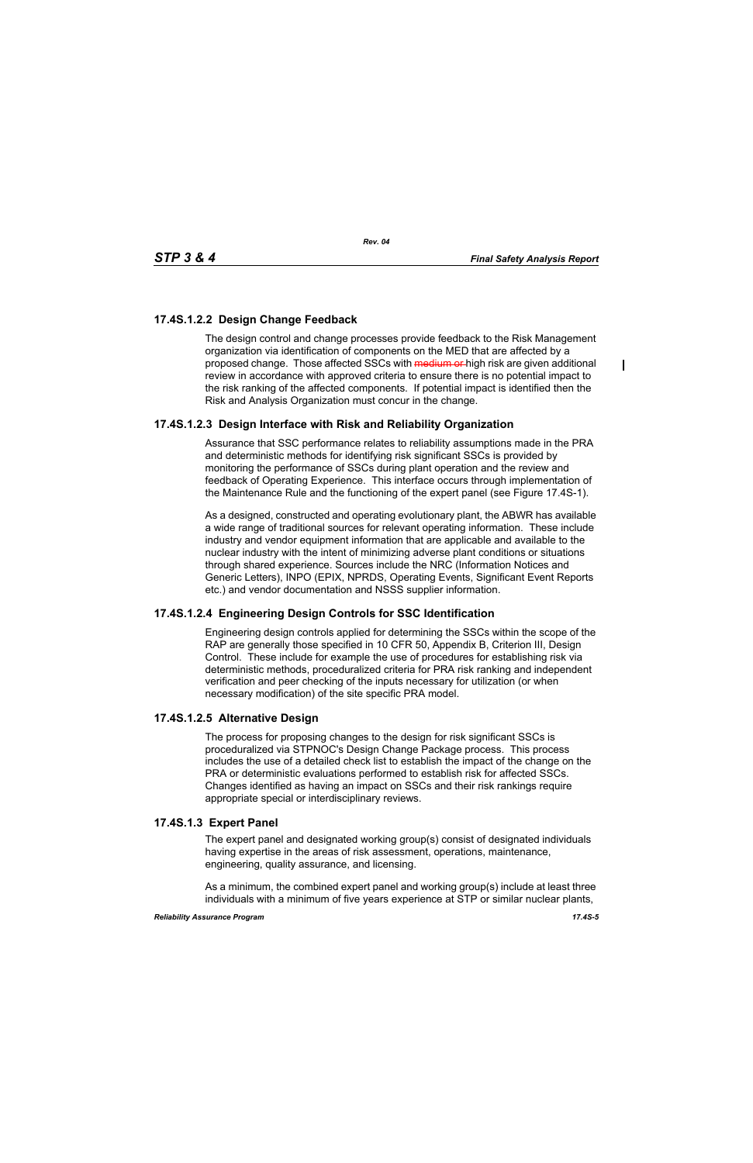$\blacksquare$ 

# **17.4S.1.2.2 Design Change Feedback**

The design control and change processes provide feedback to the Risk Management organization via identification of components on the MED that are affected by a proposed change. Those affected SSCs with medium or high risk are given additional review in accordance with approved criteria to ensure there is no potential impact to the risk ranking of the affected components. If potential impact is identified then the Risk and Analysis Organization must concur in the change.

# **17.4S.1.2.3 Design Interface with Risk and Reliability Organization**

Assurance that SSC performance relates to reliability assumptions made in the PRA and deterministic methods for identifying risk significant SSCs is provided by monitoring the performance of SSCs during plant operation and the review and feedback of Operating Experience. This interface occurs through implementation of the Maintenance Rule and the functioning of the expert panel (see Figure 17.4S-1).

As a designed, constructed and operating evolutionary plant, the ABWR has available a wide range of traditional sources for relevant operating information. These include industry and vendor equipment information that are applicable and available to the nuclear industry with the intent of minimizing adverse plant conditions or situations through shared experience. Sources include the NRC (Information Notices and Generic Letters), INPO (EPIX, NPRDS, Operating Events, Significant Event Reports etc.) and vendor documentation and NSSS supplier information.

## **17.4S.1.2.4 Engineering Design Controls for SSC Identification**

Engineering design controls applied for determining the SSCs within the scope of the RAP are generally those specified in 10 CFR 50, Appendix B, Criterion III, Design Control. These include for example the use of procedures for establishing risk via deterministic methods, proceduralized criteria for PRA risk ranking and independent verification and peer checking of the inputs necessary for utilization (or when necessary modification) of the site specific PRA model.

## **17.4S.1.2.5 Alternative Design**

The process for proposing changes to the design for risk significant SSCs is proceduralized via STPNOC's Design Change Package process. This process includes the use of a detailed check list to establish the impact of the change on the PRA or deterministic evaluations performed to establish risk for affected SSCs. Changes identified as having an impact on SSCs and their risk rankings require appropriate special or interdisciplinary reviews.

## **17.4S.1.3 Expert Panel**

The expert panel and designated working group(s) consist of designated individuals having expertise in the areas of risk assessment, operations, maintenance, engineering, quality assurance, and licensing.

As a minimum, the combined expert panel and working group(s) include at least three individuals with a minimum of five years experience at STP or similar nuclear plants,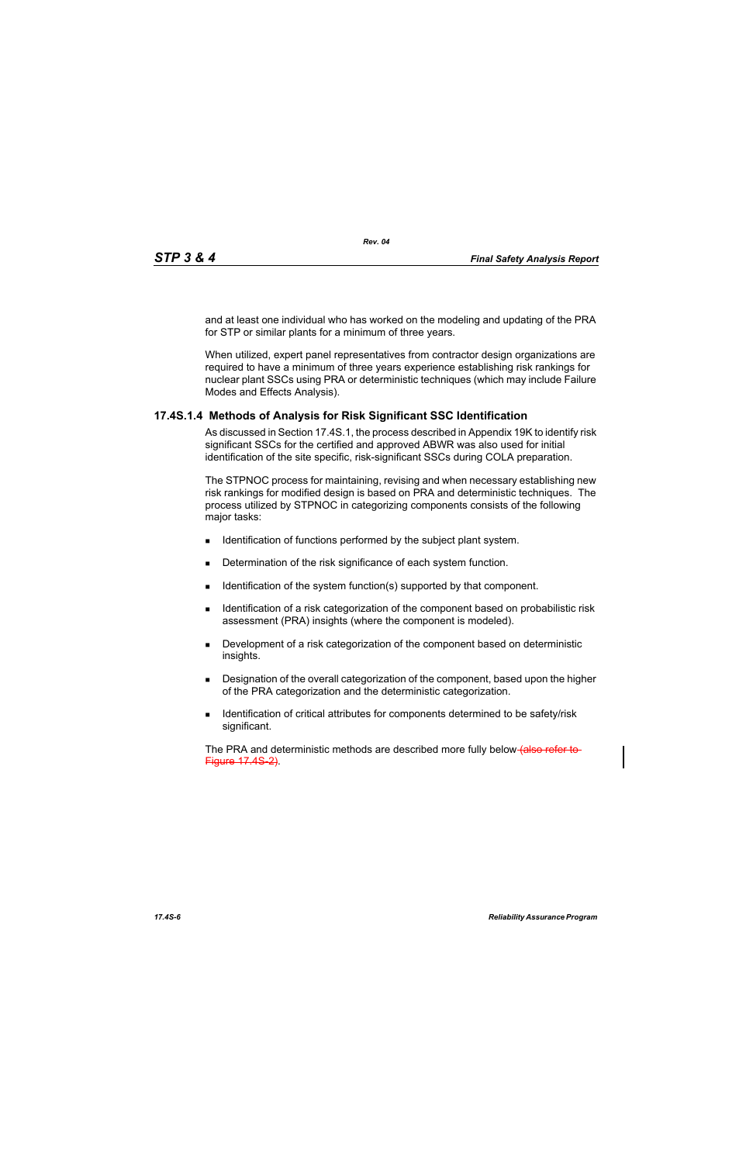and at least one individual who has worked on the modeling and updating of the PRA for STP or similar plants for a minimum of three years.

When utilized, expert panel representatives from contractor design organizations are required to have a minimum of three years experience establishing risk rankings for nuclear plant SSCs using PRA or deterministic techniques (which may include Failure Modes and Effects Analysis).

## **17.4S.1.4 Methods of Analysis for Risk Significant SSC Identification**

As discussed in Section 17.4S.1, the process described in Appendix 19K to identify risk significant SSCs for the certified and approved ABWR was also used for initial identification of the site specific, risk-significant SSCs during COLA preparation.

The STPNOC process for maintaining, revising and when necessary establishing new risk rankings for modified design is based on PRA and deterministic techniques. The process utilized by STPNOC in categorizing components consists of the following major tasks:

- **IDENTIFICATE IS CONTIFICATE:** Identification of functions performed by the subject plant system.
- Determination of the risk significance of each system function.
- $\blacksquare$  Identification of the system function(s) supported by that component.
- **IDENTIFY IDENTIFY IDENT** Identification of the component based on probabilistic risk assessment (PRA) insights (where the component is modeled).
- **Development of a risk categorization of the component based on deterministic** insights.
- **Designation of the overall categorization of the component, based upon the higher** of the PRA categorization and the deterministic categorization.
- **IDENTIFICATE:** Identification of critical attributes for components determined to be safety/risk significant.

The PRA and deterministic methods are described more fully below (also refer to Figure 17.4S-2).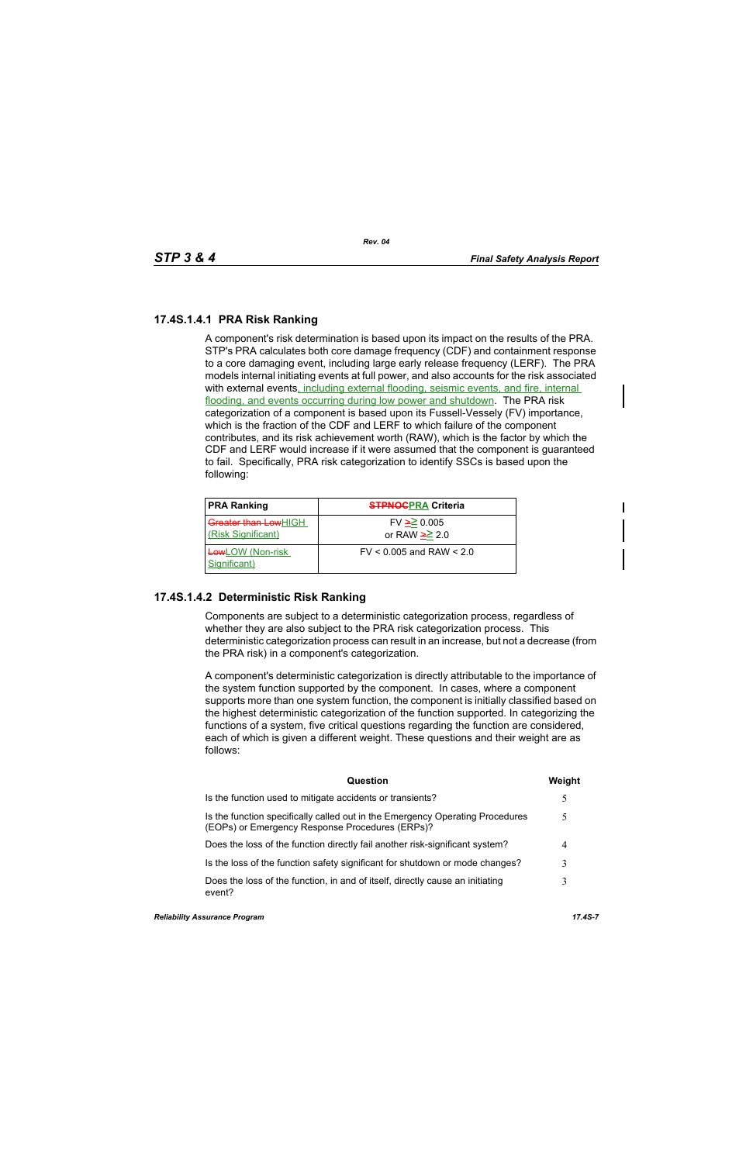# **17.4S.1.4.1 PRA Risk Ranking**

A component's risk determination is based upon its impact on the results of the PRA. STP's PRA calculates both core damage frequency (CDF) and containment response to a core damaging event, including large early release frequency (LERF). The PRA models internal initiating events at full power, and also accounts for the risk associated with external events, including external flooding, seismic events, and fire, internal flooding, and events occurring during low power and shutdown. The PRA risk categorization of a component is based upon its Fussell-Vessely (FV) importance, which is the fraction of the CDF and LERF to which failure of the component contributes, and its risk achievement worth (RAW), which is the factor by which the CDF and LERF would increase if it were assumed that the component is guaranteed to fail. Specifically, PRA risk categorization to identify SSCs is based upon the following:

| <b>PRA Ranking</b>                                | <b>STPNOCPRA Criteria</b>           |
|---------------------------------------------------|-------------------------------------|
| <b>Greater than LowHIGH</b><br>(Risk Significant) | $FV \ge 0.005$<br>or RAW $\geq 2.0$ |
| <b>Low</b> LOW (Non-risk<br>Significant)          | $FV < 0.005$ and RAW $< 2.0$        |

## **17.4S.1.4.2 Deterministic Risk Ranking**

Components are subject to a deterministic categorization process, regardless of whether they are also subject to the PRA risk categorization process. This deterministic categorization process can result in an increase, but not a decrease (from the PRA risk) in a component's categorization.

A component's deterministic categorization is directly attributable to the importance of the system function supported by the component. In cases, where a component supports more than one system function, the component is initially classified based on the highest deterministic categorization of the function supported. In categorizing the functions of a system, five critical questions regarding the function are considered, each of which is given a different weight. These questions and their weight are as follows:

| Question                                                                                                                         | Weight |
|----------------------------------------------------------------------------------------------------------------------------------|--------|
| Is the function used to mitigate accidents or transients?                                                                        | 5      |
| Is the function specifically called out in the Emergency Operating Procedures<br>(EOPs) or Emergency Response Procedures (ERPs)? |        |
| Does the loss of the function directly fail another risk-significant system?                                                     | 4      |
| Is the loss of the function safety significant for shutdown or mode changes?                                                     |        |
| Does the loss of the function, in and of itself, directly cause an initiating<br>event?                                          |        |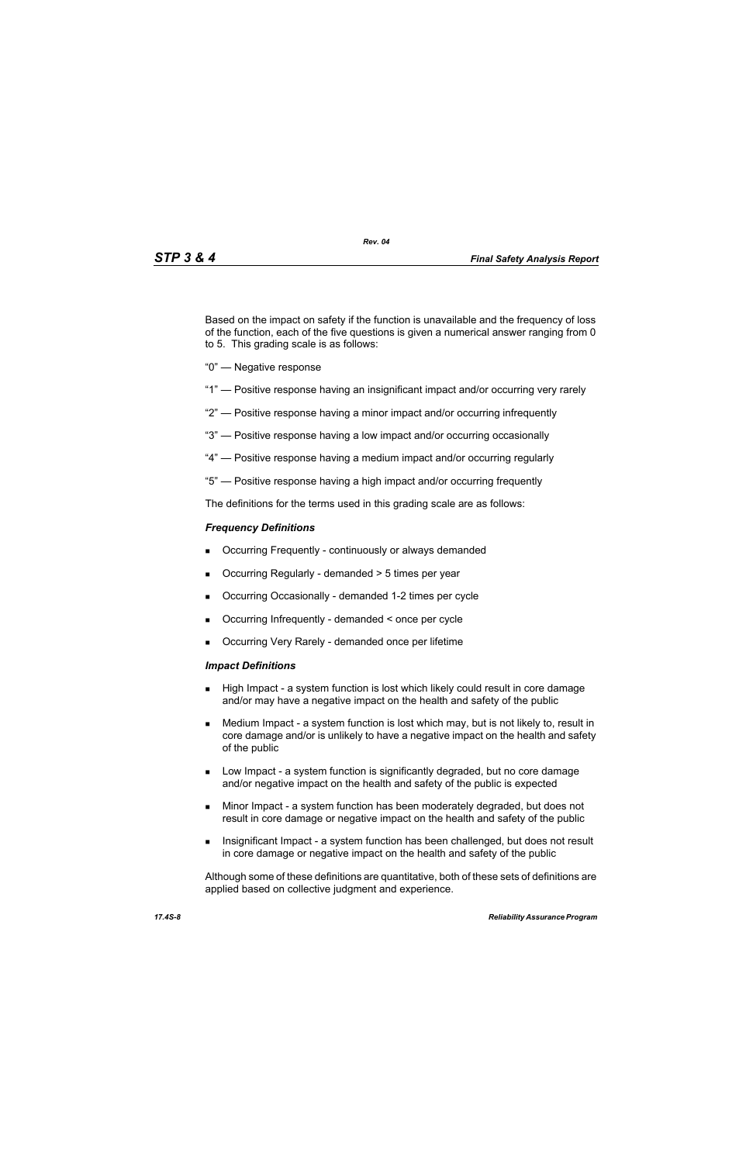Based on the impact on safety if the function is unavailable and the frequency of loss of the function, each of the five questions is given a numerical answer ranging from 0 to 5. This grading scale is as follows:

- "0" Negative response
- "1" Positive response having an insignificant impact and/or occurring very rarely
- "2" Positive response having a minor impact and/or occurring infrequently
- "3" Positive response having a low impact and/or occurring occasionally
- "4" Positive response having a medium impact and/or occurring regularly
- "5" Positive response having a high impact and/or occurring frequently

The definitions for the terms used in this grading scale are as follows:

#### *Frequency Definitions*

- Occurring Frequently continuously or always demanded
- $\blacksquare$  Occurring Regularly demanded  $>$  5 times per year
- Occurring Occasionally demanded 1-2 times per cycle
- Occurring Infrequently demanded < once per cycle
- Occurring Very Rarely demanded once per lifetime

#### *Impact Definitions*

- High Impact a system function is lost which likely could result in core damage and/or may have a negative impact on the health and safety of the public
- Medium Impact a system function is lost which may, but is not likely to, result in core damage and/or is unlikely to have a negative impact on the health and safety of the public
- Low Impact a system function is significantly degraded, but no core damage and/or negative impact on the health and safety of the public is expected
- Minor Impact a system function has been moderately degraded, but does not result in core damage or negative impact on the health and safety of the public
- Insignificant Impact a system function has been challenged, but does not result in core damage or negative impact on the health and safety of the public

Although some of these definitions are quantitative, both of these sets of definitions are applied based on collective judgment and experience.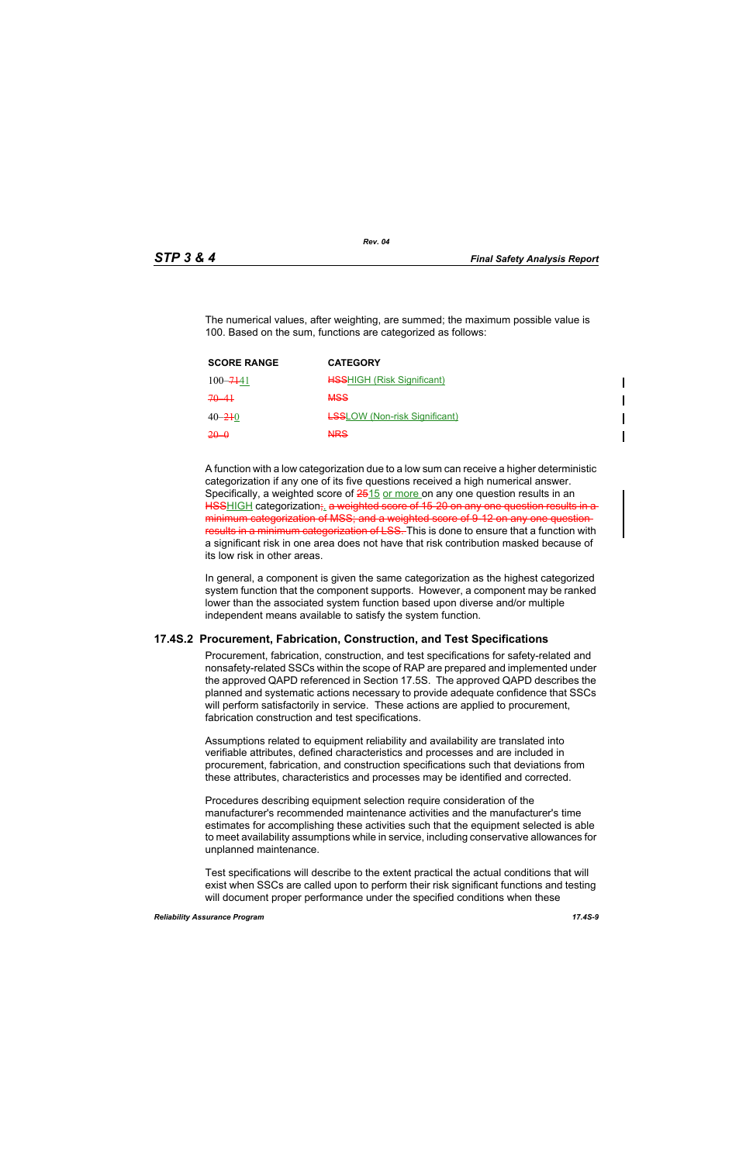The numerical values, after weighting, are summed; the maximum possible value is 100. Based on the sum, functions are categorized as follows:

| <b>SCORE RANGE</b> | <b>CATEGORY</b>                      |
|--------------------|--------------------------------------|
| $100 - 7141$       | <b>HSSHIGH (Risk Significant)</b>    |
| $70 - 41$          | <b>MSS</b>                           |
| $40 - 210$         | <b>LSSLOW</b> (Non-risk Significant) |
| $20 - 0$           | <b>NRS</b>                           |

A function with a low categorization due to a low sum can receive a higher deterministic categorization if any one of its five questions received a high numerical answer. Specifically, a weighted score of  $2515$  or more on any one question results in an HSSHIGH categorization; a weighted score of 15-20 on any one question results in a minimum categorization of MSS; and a weighted score of 9-12 on any one questionresults in a minimum categorization of LSS. This is done to ensure that a function with a significant risk in one area does not have that risk contribution masked because of its low risk in other areas.

In general, a component is given the same categorization as the highest categorized system function that the component supports. However, a component may be ranked lower than the associated system function based upon diverse and/or multiple independent means available to satisfy the system function.

#### **17.4S.2 Procurement, Fabrication, Construction, and Test Specifications**

Procurement, fabrication, construction, and test specifications for safety-related and nonsafety-related SSCs within the scope of RAP are prepared and implemented under the approved QAPD referenced in Section 17.5S. The approved QAPD describes the planned and systematic actions necessary to provide adequate confidence that SSCs will perform satisfactorily in service. These actions are applied to procurement, fabrication construction and test specifications.

Assumptions related to equipment reliability and availability are translated into verifiable attributes, defined characteristics and processes and are included in procurement, fabrication, and construction specifications such that deviations from these attributes, characteristics and processes may be identified and corrected.

Procedures describing equipment selection require consideration of the manufacturer's recommended maintenance activities and the manufacturer's time estimates for accomplishing these activities such that the equipment selected is able to meet availability assumptions while in service, including conservative allowances for unplanned maintenance.

Test specifications will describe to the extent practical the actual conditions that will exist when SSCs are called upon to perform their risk significant functions and testing will document proper performance under the specified conditions when these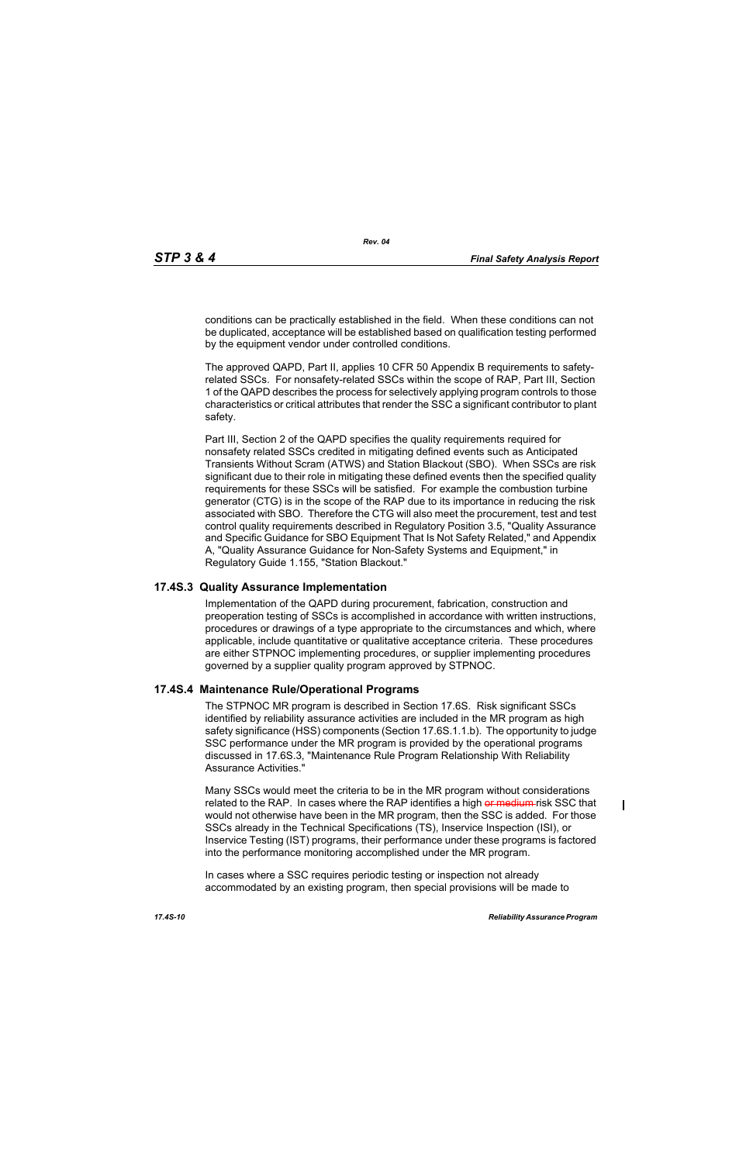conditions can be practically established in the field. When these conditions can not be duplicated, acceptance will be established based on qualification testing performed by the equipment vendor under controlled conditions.

The approved QAPD, Part II, applies 10 CFR 50 Appendix B requirements to safetyrelated SSCs. For nonsafety-related SSCs within the scope of RAP, Part III, Section 1 of the QAPD describes the process for selectively applying program controls to those characteristics or critical attributes that render the SSC a significant contributor to plant safety.

Part III, Section 2 of the QAPD specifies the quality requirements required for nonsafety related SSCs credited in mitigating defined events such as Anticipated Transients Without Scram (ATWS) and Station Blackout (SBO). When SSCs are risk significant due to their role in mitigating these defined events then the specified quality requirements for these SSCs will be satisfied. For example the combustion turbine generator (CTG) is in the scope of the RAP due to its importance in reducing the risk associated with SBO. Therefore the CTG will also meet the procurement, test and test control quality requirements described in Regulatory Position 3.5, "Quality Assurance and Specific Guidance for SBO Equipment That Is Not Safety Related," and Appendix A, "Quality Assurance Guidance for Non-Safety Systems and Equipment," in Regulatory Guide 1.155, "Station Blackout."

### **17.4S.3 Quality Assurance Implementation**

Implementation of the QAPD during procurement, fabrication, construction and preoperation testing of SSCs is accomplished in accordance with written instructions, procedures or drawings of a type appropriate to the circumstances and which, where applicable, include quantitative or qualitative acceptance criteria. These procedures are either STPNOC implementing procedures, or supplier implementing procedures governed by a supplier quality program approved by STPNOC.

#### **17.4S.4 Maintenance Rule/Operational Programs**

The STPNOC MR program is described in Section 17.6S. Risk significant SSCs identified by reliability assurance activities are included in the MR program as high safety significance (HSS) components (Section 17.6S.1.1.b). The opportunity to judge SSC performance under the MR program is provided by the operational programs discussed in 17.6S.3, "Maintenance Rule Program Relationship With Reliability Assurance Activities."

Many SSCs would meet the criteria to be in the MR program without considerations related to the RAP. In cases where the RAP identifies a high or medium risk SSC that would not otherwise have been in the MR program, then the SSC is added. For those SSCs already in the Technical Specifications (TS), Inservice Inspection (ISI), or Inservice Testing (IST) programs, their performance under these programs is factored into the performance monitoring accomplished under the MR program.

In cases where a SSC requires periodic testing or inspection not already accommodated by an existing program, then special provisions will be made to  $\mathbf I$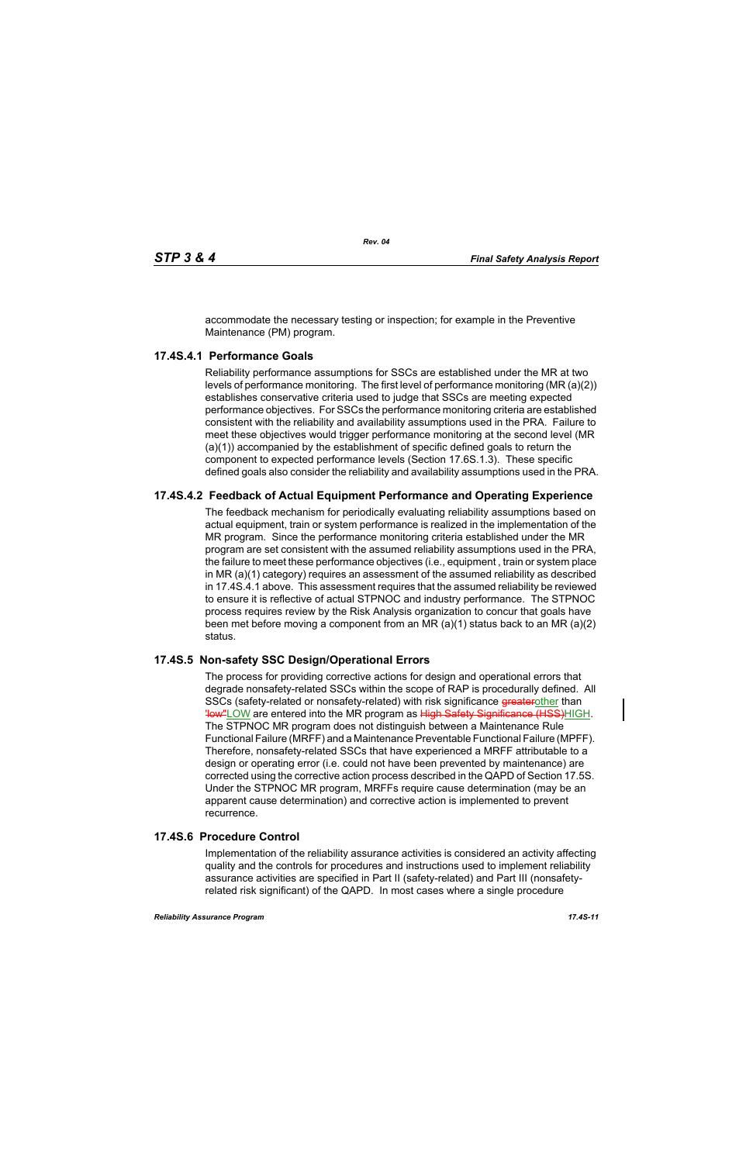accommodate the necessary testing or inspection; for example in the Preventive Maintenance (PM) program.

# **17.4S.4.1 Performance Goals**

Reliability performance assumptions for SSCs are established under the MR at two levels of performance monitoring. The first level of performance monitoring (MR (a)(2)) establishes conservative criteria used to judge that SSCs are meeting expected performance objectives. For SSCs the performance monitoring criteria are established consistent with the reliability and availability assumptions used in the PRA. Failure to meet these objectives would trigger performance monitoring at the second level (MR (a)(1)) accompanied by the establishment of specific defined goals to return the component to expected performance levels (Section 17.6S.1.3). These specific defined goals also consider the reliability and availability assumptions used in the PRA.

# **17.4S.4.2 Feedback of Actual Equipment Performance and Operating Experience**

The feedback mechanism for periodically evaluating reliability assumptions based on actual equipment, train or system performance is realized in the implementation of the MR program. Since the performance monitoring criteria established under the MR program are set consistent with the assumed reliability assumptions used in the PRA, the failure to meet these performance objectives (i.e., equipment , train or system place in MR (a)(1) category) requires an assessment of the assumed reliability as described in 17.4S.4.1 above. This assessment requires that the assumed reliability be reviewed to ensure it is reflective of actual STPNOC and industry performance. The STPNOC process requires review by the Risk Analysis organization to concur that goals have been met before moving a component from an MR (a)(1) status back to an MR (a)(2) status.

## **17.4S.5 Non-safety SSC Design/Operational Errors**

The process for providing corrective actions for design and operational errors that degrade nonsafety-related SSCs within the scope of RAP is procedurally defined. All SSCs (safety-related or nonsafety-related) with risk significance greaterother than **'low''LOW** are entered into the MR program as High Safety Significance (HSS)HIGH. The STPNOC MR program does not distinguish between a Maintenance Rule Functional Failure (MRFF) and a Maintenance Preventable Functional Failure (MPFF). Therefore, nonsafety-related SSCs that have experienced a MRFF attributable to a design or operating error (i.e. could not have been prevented by maintenance) are corrected using the corrective action process described in the QAPD of Section 17.5S. Under the STPNOC MR program, MRFFs require cause determination (may be an apparent cause determination) and corrective action is implemented to prevent recurrence.

## **17.4S.6 Procedure Control**

Implementation of the reliability assurance activities is considered an activity affecting quality and the controls for procedures and instructions used to implement reliability assurance activities are specified in Part II (safety-related) and Part III (nonsafetyrelated risk significant) of the QAPD. In most cases where a single procedure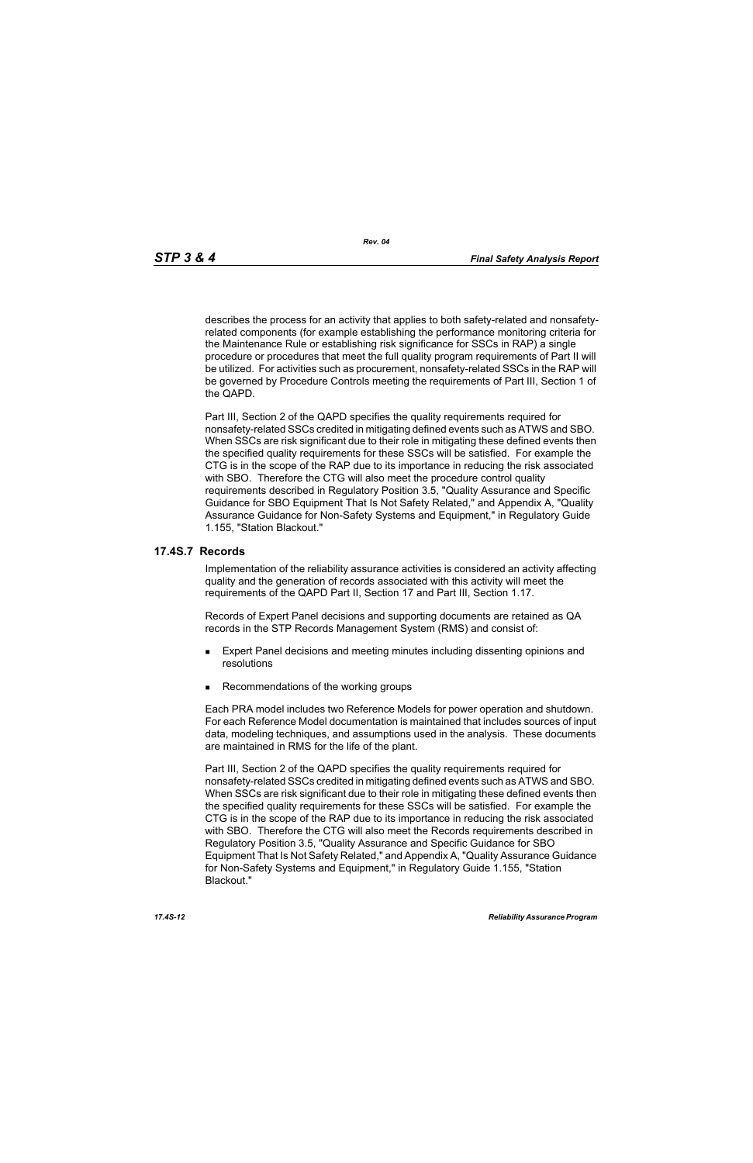describes the process for an activity that applies to both safety-related and nonsafetyrelated components (for example establishing the performance monitoring criteria for the Maintenance Rule or establishing risk significance for SSCs in RAP) a single procedure or procedures that meet the full quality program requirements of Part II will be utilized. For activities such as procurement, nonsafety-related SSCs in the RAP will be governed by Procedure Controls meeting the requirements of Part III, Section 1 of the QAPD.

Part III, Section 2 of the QAPD specifies the quality requirements required for nonsafety-related SSCs credited in mitigating defined events such as ATWS and SBO. When SSCs are risk significant due to their role in mitigating these defined events then the specified quality requirements for these SSCs will be satisfied. For example the CTG is in the scope of the RAP due to its importance in reducing the risk associated with SBO. Therefore the CTG will also meet the procedure control quality requirements described in Regulatory Position 3.5, "Quality Assurance and Specific Guidance for SBO Equipment That Is Not Safety Related," and Appendix A, "Quality Assurance Guidance for Non-Safety Systems and Equipment," in Regulatory Guide 1.155, "Station Blackout."

### **17.4S.7 Records**

Implementation of the reliability assurance activities is considered an activity affecting quality and the generation of records associated with this activity will meet the requirements of the QAPD Part II, Section 17 and Part III, Section 1.17.

Records of Expert Panel decisions and supporting documents are retained as QA records in the STP Records Management System (RMS) and consist of:

- **Expert Panel decisions and meeting minutes including dissenting opinions and** resolutions
- Recommendations of the working groups

Each PRA model includes two Reference Models for power operation and shutdown. For each Reference Model documentation is maintained that includes sources of input data, modeling techniques, and assumptions used in the analysis. These documents are maintained in RMS for the life of the plant.

Part III, Section 2 of the QAPD specifies the quality requirements required for nonsafety-related SSCs credited in mitigating defined events such as ATWS and SBO. When SSCs are risk significant due to their role in mitigating these defined events then the specified quality requirements for these SSCs will be satisfied. For example the CTG is in the scope of the RAP due to its importance in reducing the risk associated with SBO. Therefore the CTG will also meet the Records requirements described in Regulatory Position 3.5, "Quality Assurance and Specific Guidance for SBO Equipment That Is Not Safety Related," and Appendix A, "Quality Assurance Guidance for Non-Safety Systems and Equipment," in Regulatory Guide 1.155, "Station Blackout."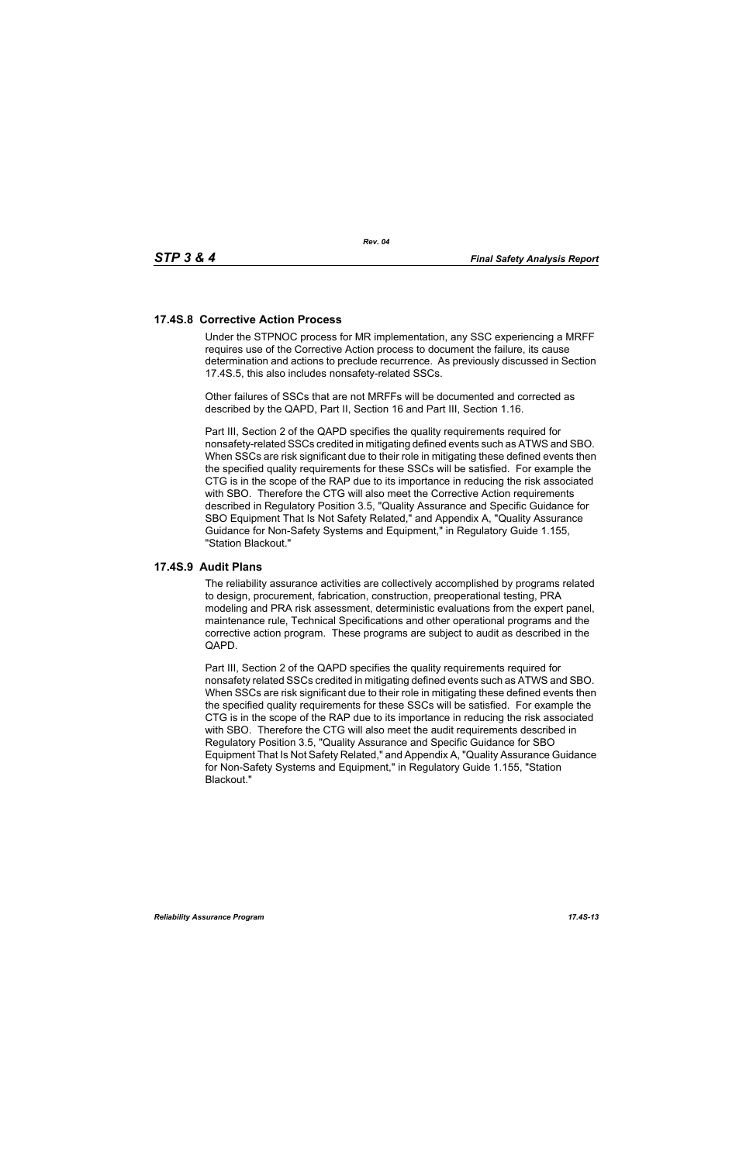## **17.4S.8 Corrective Action Process**

Under the STPNOC process for MR implementation, any SSC experiencing a MRFF requires use of the Corrective Action process to document the failure, its cause determination and actions to preclude recurrence. As previously discussed in Section 17.4S.5, this also includes nonsafety-related SSCs.

Other failures of SSCs that are not MRFFs will be documented and corrected as described by the QAPD, Part II, Section 16 and Part III, Section 1.16.

Part III, Section 2 of the QAPD specifies the quality requirements required for nonsafety-related SSCs credited in mitigating defined events such as ATWS and SBO. When SSCs are risk significant due to their role in mitigating these defined events then the specified quality requirements for these SSCs will be satisfied. For example the CTG is in the scope of the RAP due to its importance in reducing the risk associated with SBO. Therefore the CTG will also meet the Corrective Action requirements described in Regulatory Position 3.5, "Quality Assurance and Specific Guidance for SBO Equipment That Is Not Safety Related," and Appendix A, "Quality Assurance Guidance for Non-Safety Systems and Equipment," in Regulatory Guide 1.155, "Station Blackout."

### **17.4S.9 Audit Plans**

The reliability assurance activities are collectively accomplished by programs related to design, procurement, fabrication, construction, preoperational testing, PRA modeling and PRA risk assessment, deterministic evaluations from the expert panel, maintenance rule, Technical Specifications and other operational programs and the corrective action program. These programs are subject to audit as described in the QAPD.

Part III, Section 2 of the QAPD specifies the quality requirements required for nonsafety related SSCs credited in mitigating defined events such as ATWS and SBO. When SSCs are risk significant due to their role in mitigating these defined events then the specified quality requirements for these SSCs will be satisfied. For example the CTG is in the scope of the RAP due to its importance in reducing the risk associated with SBO. Therefore the CTG will also meet the audit requirements described in Regulatory Position 3.5, "Quality Assurance and Specific Guidance for SBO Equipment That Is Not Safety Related," and Appendix A, "Quality Assurance Guidance for Non-Safety Systems and Equipment," in Regulatory Guide 1.155, "Station Blackout."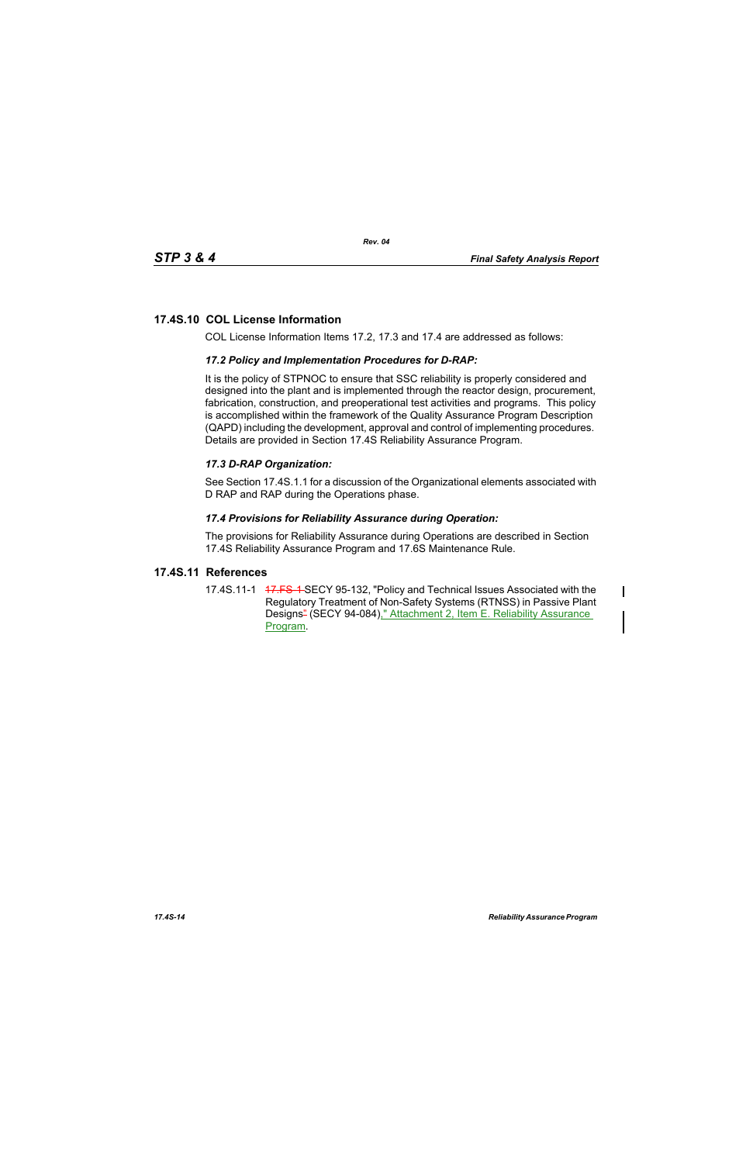# **17.4S.10 COL License Information**

COL License Information Items 17.2, 17.3 and 17.4 are addressed as follows:

## *17.2 Policy and Implementation Procedures for D-RAP:*

It is the policy of STPNOC to ensure that SSC reliability is properly considered and designed into the plant and is implemented through the reactor design, procurement, fabrication, construction, and preoperational test activities and programs. This policy is accomplished within the framework of the Quality Assurance Program Description (QAPD) including the development, approval and control of implementing procedures. Details are provided in Section 17.4S Reliability Assurance Program.

## *17.3 D-RAP Organization:*

See Section 17.4S.1.1 for a discussion of the Organizational elements associated with D RAP and RAP during the Operations phase.

### *17.4 Provisions for Reliability Assurance during Operation:*

The provisions for Reliability Assurance during Operations are described in Section 17.4S Reliability Assurance Program and 17.6S Maintenance Rule.

## **17.4S.11 References**

17.4S.11-1 47.FS-1 SECY 95-132, "Policy and Technical Issues Associated with the Regulatory Treatment of Non-Safety Systems (RTNSS) in Passive Plant Designs<sup>2</sup> (SECY 94-084)," Attachment 2, Item E. Reliability Assurance Program.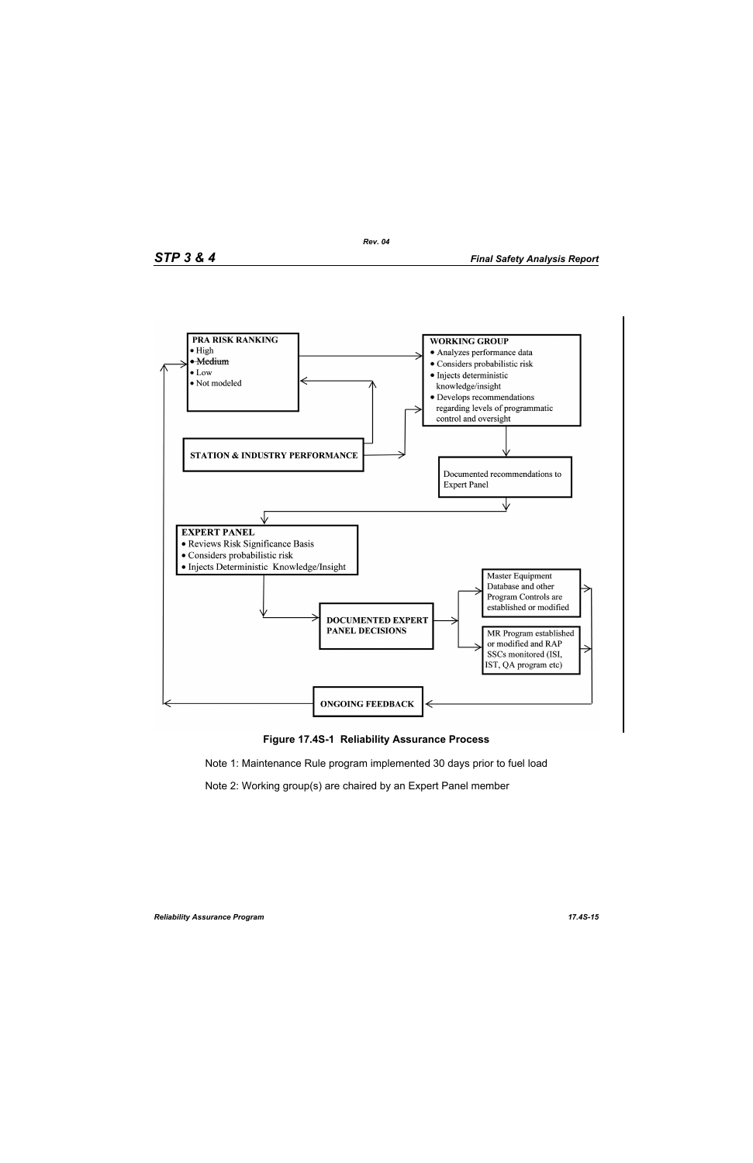



Note 1: Maintenance Rule program implemented 30 days prior to fuel load

Note 2: Working group(s) are chaired by an Expert Panel member